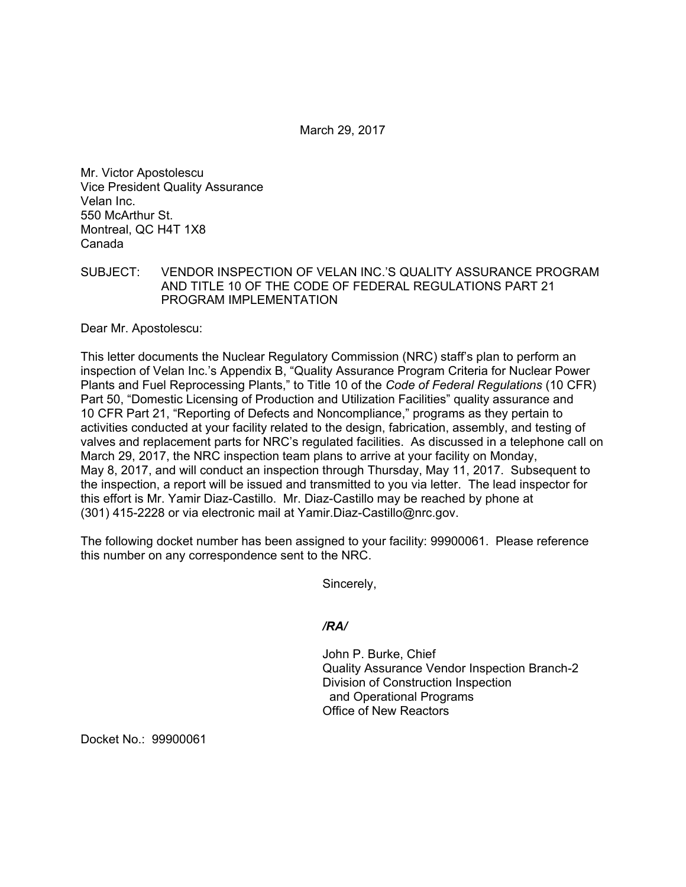March 29, 2017

Mr. Victor Apostolescu Vice President Quality Assurance Velan Inc. 550 McArthur St. Montreal, QC H4T 1X8 Canada

SUBJECT: VENDOR INSPECTION OF VELAN INC.'S QUALITY ASSURANCE PROGRAM AND TITLE 10 OF THE CODE OF FEDERAL REGULATIONS PART 21 PROGRAM IMPLEMENTATION

Dear Mr. Apostolescu:

This letter documents the Nuclear Regulatory Commission (NRC) staff's plan to perform an inspection of Velan Inc.'s Appendix B, "Quality Assurance Program Criteria for Nuclear Power Plants and Fuel Reprocessing Plants," to Title 10 of the *Code of Federal Regulations* (10 CFR) Part 50, "Domestic Licensing of Production and Utilization Facilities" quality assurance and 10 CFR Part 21, "Reporting of Defects and Noncompliance," programs as they pertain to activities conducted at your facility related to the design, fabrication, assembly, and testing of valves and replacement parts for NRC's regulated facilities. As discussed in a telephone call on March 29, 2017, the NRC inspection team plans to arrive at your facility on Monday, May 8, 2017, and will conduct an inspection through Thursday, May 11, 2017. Subsequent to the inspection, a report will be issued and transmitted to you via letter. The lead inspector for this effort is Mr. Yamir Diaz-Castillo. Mr. Diaz-Castillo may be reached by phone at (301) 415-2228 or via electronic mail at Yamir.Diaz-Castillo@nrc.gov.

The following docket number has been assigned to your facility: 99900061. Please reference this number on any correspondence sent to the NRC.

Sincerely,

*/RA/* 

John P. Burke, Chief Quality Assurance Vendor Inspection Branch-2 Division of Construction Inspection and Operational Programs Office of New Reactors

Docket No.: 99900061